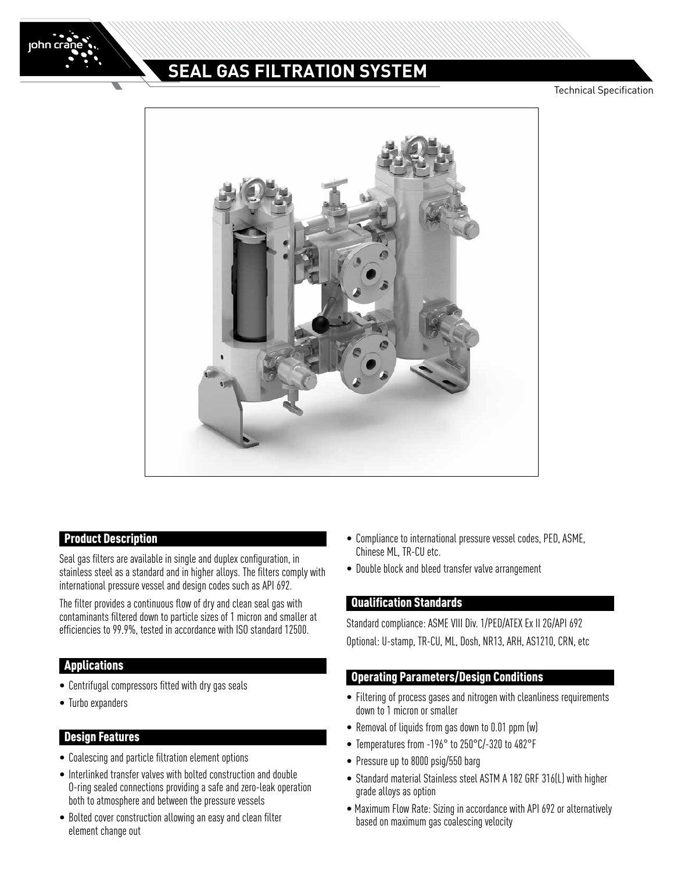

# **SEAL GAS FILTRATION SYSTEM**

Technical Specification



## Product Description

Seal gas filters are available in single and duplex configuration, in stainless steel as a standard and in higher alloys. The filters comply with international pressure vessel and design codes such as API 692.

The filter provides a continuous flow of dry and clean seal gas with contaminants filtered down to particle sizes of 1 micron and smaller at efficiencies to 99.9%, tested in accordance with ISO standard 12500.

## Applications

- Centrifugal compressors fitted with dry gas seals
- Turbo expanders

#### Design Features

- Coalescing and particle filtration element options
- Interlinked transfer valves with bolted construction and double O-ring sealed connections providing a safe and zero-leak operation both to atmosphere and between the pressure vessels
- Bolted cover construction allowing an easy and clean filter element change out
- Compliance to international pressure vessel codes, PED, ASME, Chinese ML, TR-CU etc.
- Double block and bleed transfer valve arrangement

#### Qualification Standards

Standard compliance: ASME VIII Div. 1/PED/ATEX Ex II 2G/API 692 Optional: U-stamp, TR-CU, ML, Dosh, NR13, ARH, AS1210, CRN, etc

## Operating Parameters/Design Conditions

- Filtering of process gases and nitrogen with cleanliness requirements down to 1 micron or smaller
- Removal of liquids from gas down to 0.01 ppm (w)
- Temperatures from -196° to 250°C/-320 to 482°F
- Pressure up to 8000 psig/550 barg
- Standard material Stainless steel ASTM A 182 GRF 316(L) with higher grade alloys as option
- Maximum Flow Rate: Sizing in accordance with API 692 or alternatively based on maximum gas coalescing velocity